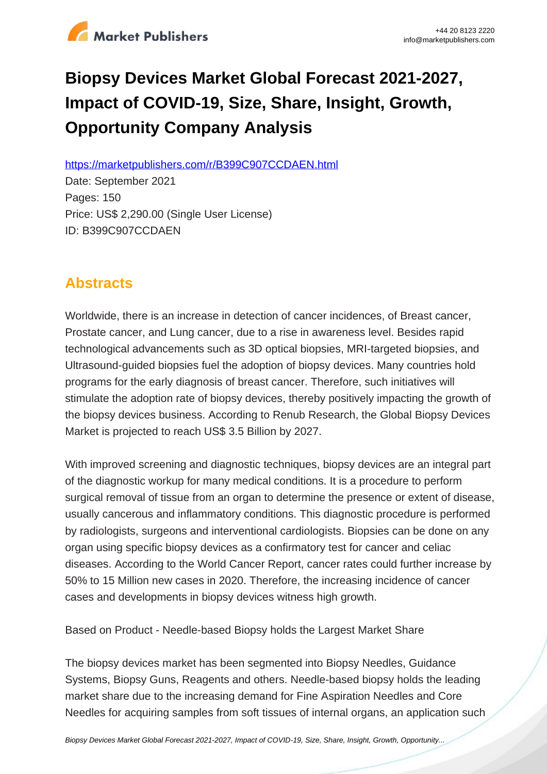

# **Biopsy Devices Market Global Forecast 2021-2027, Impact of COVID-19, Size, Share, Insight, Growth, Opportunity Company Analysis**

https://marketpublishers.com/r/B399C907CCDAEN.html

Date: September 2021 Pages: 150 Price: US\$ 2,290.00 (Single User License) ID: B399C907CCDAEN

# **Abstracts**

Worldwide, there is an increase in detection of cancer incidences, of Breast cancer, Prostate cancer, and Lung cancer, due to a rise in awareness level. Besides rapid technological advancements such as 3D optical biopsies, MRI-targeted biopsies, and Ultrasound-guided biopsies fuel the adoption of biopsy devices. Many countries hold programs for the early diagnosis of breast cancer. Therefore, such initiatives will stimulate the adoption rate of biopsy devices, thereby positively impacting the growth of the biopsy devices business. According to Renub Research, the Global Biopsy Devices Market is projected to reach US\$ 3.5 Billion by 2027.

With improved screening and diagnostic techniques, biopsy devices are an integral part of the diagnostic workup for many medical conditions. It is a procedure to perform surgical removal of tissue from an organ to determine the presence or extent of disease, usually cancerous and inflammatory conditions. This diagnostic procedure is performed by radiologists, surgeons and interventional cardiologists. Biopsies can be done on any organ using specific biopsy devices as a confirmatory test for cancer and celiac diseases. According to the World Cancer Report, cancer rates could further increase by 50% to 15 Million new cases in 2020. Therefore, the increasing incidence of cancer cases and developments in biopsy devices witness high growth.

Based on Product - Needle-based Biopsy holds the Largest Market Share

The biopsy devices market has been segmented into Biopsy Needles, Guidance Systems, Biopsy Guns, Reagents and others. Needle-based biopsy holds the leading market share due to the increasing demand for Fine Aspiration Needles and Core Needles for acquiring samples from soft tissues of internal organs, an application such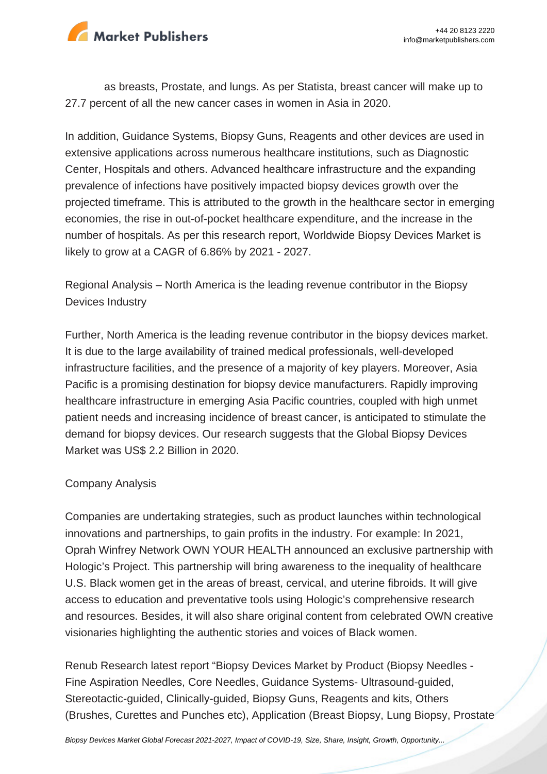

as breasts, Prostate, and lungs. As per Statista, breast cancer will make up to 27.7 percent of all the new cancer cases in women in Asia in 2020.

In addition, Guidance Systems, Biopsy Guns, Reagents and other devices are used in extensive applications across numerous healthcare institutions, such as Diagnostic Center, Hospitals and others. Advanced healthcare infrastructure and the expanding prevalence of infections have positively impacted biopsy devices growth over the projected timeframe. This is attributed to the growth in the healthcare sector in emerging economies, the rise in out-of-pocket healthcare expenditure, and the increase in the number of hospitals. As per this research report, Worldwide Biopsy Devices Market is likely to grow at a CAGR of 6.86% by 2021 - 2027.

Regional Analysis – North America is the leading revenue contributor in the Biopsy Devices Industry

Further, North America is the leading revenue contributor in the biopsy devices market. It is due to the large availability of trained medical professionals, well-developed infrastructure facilities, and the presence of a majority of key players. Moreover, Asia Pacific is a promising destination for biopsy device manufacturers. Rapidly improving healthcare infrastructure in emerging Asia Pacific countries, coupled with high unmet patient needs and increasing incidence of breast cancer, is anticipated to stimulate the demand for biopsy devices. Our research suggests that the Global Biopsy Devices Market was US\$ 2.2 Billion in 2020.

## Company Analysis

Companies are undertaking strategies, such as product launches within technological innovations and partnerships, to gain profits in the industry. For example: In 2021, Oprah Winfrey Network OWN YOUR HEALTH announced an exclusive partnership with Hologic's Project. This partnership will bring awareness to the inequality of healthcare U.S. Black women get in the areas of breast, cervical, and uterine fibroids. It will give access to education and preventative tools using Hologic's comprehensive research and resources. Besides, it will also share original content from celebrated OWN creative visionaries highlighting the authentic stories and voices of Black women.

Renub Research latest report "Biopsy Devices Market by Product (Biopsy Needles - Fine Aspiration Needles, Core Needles, Guidance Systems- Ultrasound-guided, Stereotactic-guided, Clinically-guided, Biopsy Guns, Reagents and kits, Others (Brushes, Curettes and Punches etc), Application (Breast Biopsy, Lung Biopsy, Prostate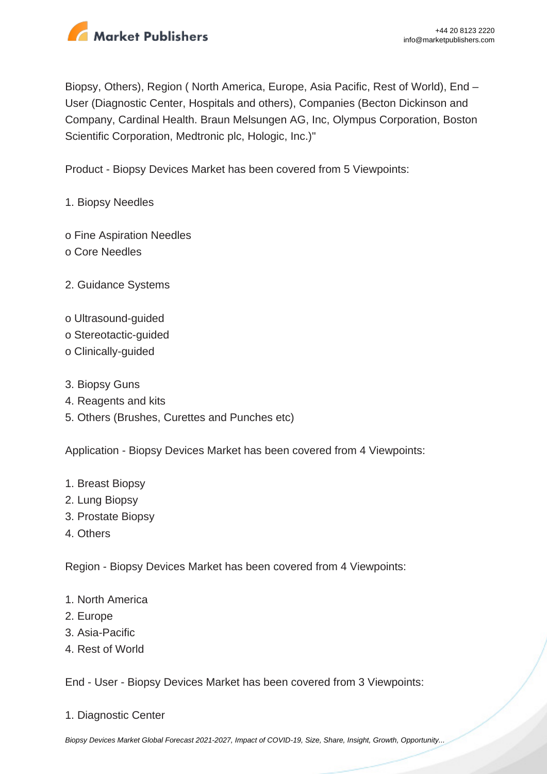

Biopsy, Others), Region ( North America, Europe, Asia Pacific, Rest of World), End – User (Diagnostic Center, Hospitals and others), Companies (Becton Dickinson and Company, Cardinal Health. Braun Melsungen AG, Inc, Olympus Corporation, Boston Scientific Corporation, Medtronic plc, Hologic, Inc.)"

Product - Biopsy Devices Market has been covered from 5 Viewpoints:

- 1. Biopsy Needles
- o Fine Aspiration Needles o Core Needles
- 2. Guidance Systems
- o Ultrasound-guided
- o Stereotactic-guided
- o Clinically-guided
- 3. Biopsy Guns
- 4. Reagents and kits
- 5. Others (Brushes, Curettes and Punches etc)

Application - Biopsy Devices Market has been covered from 4 Viewpoints:

- 1. Breast Biopsy
- 2. Lung Biopsy
- 3. Prostate Biopsy
- 4. Others

Region - Biopsy Devices Market has been covered from 4 Viewpoints:

- 1. North America
- 2. Europe
- 3. Asia-Pacific
- 4. Rest of World

End - User - Biopsy Devices Market has been covered from 3 Viewpoints:

1. Diagnostic Center

[Biopsy Devices Market Global Forecast 2021-2027, Impact of COVID-19, Size, Share, Insight, Growth, Opportunity...](https://marketpublishers.com/report/medical_devices/other_medical_devices/biopsy-devices-market-global-forecast-2021-2027-impact-of-covid-19-size-share-insight-growth-opportunity-company-analysis.html)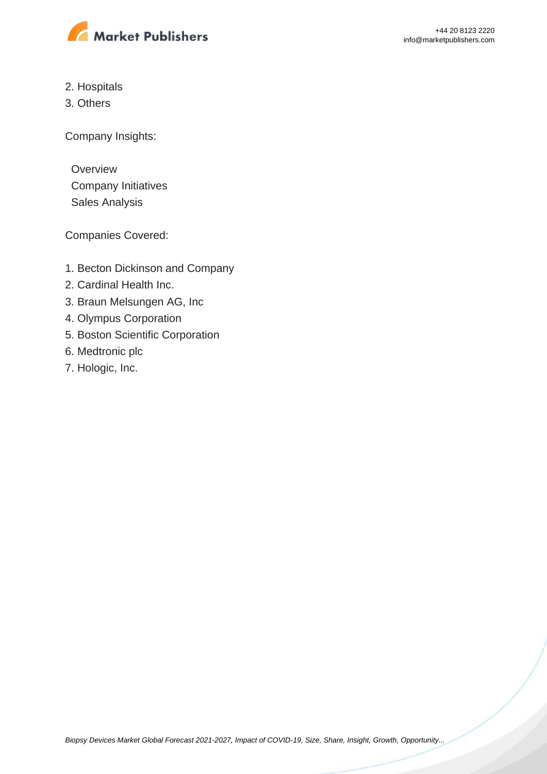

- 2. Hospitals
- 3. Others

Company Insights:

**Overview**  Company Initiatives Sales Analysis

Companies Covered:

- 1. Becton Dickinson and Company
- 2. Cardinal Health Inc.
- 3. Braun Melsungen AG, Inc
- 4. Olympus Corporation
- 5. Boston Scientific Corporation
- 6. Medtronic plc
- 7. Hologic, Inc.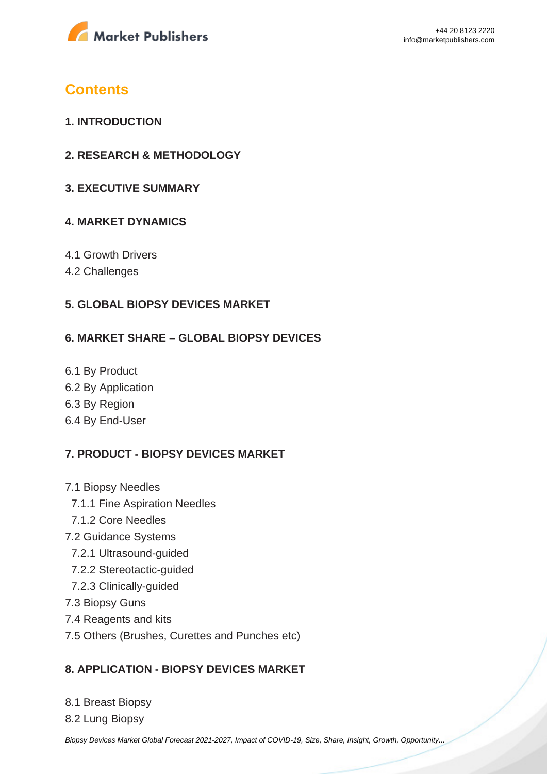

# **Contents**

- **1. INTRODUCTION**
- **2. RESEARCH & METHODOLOGY**
- **3. EXECUTIVE SUMMARY**

## **4. MARKET DYNAMICS**

- 4.1 Growth Drivers
- 4.2 Challenges

## **5. GLOBAL BIOPSY DEVICES MARKET**

#### **6. MARKET SHARE – GLOBAL BIOPSY DEVICES**

- 6.1 By Product
- 6.2 By Application
- 6.3 By Region
- 6.4 By End-User

## **7. PRODUCT - BIOPSY DEVICES MARKET**

- 7.1 Biopsy Needles
	- 7.1.1 Fine Aspiration Needles
	- 7.1.2 Core Needles
- 7.2 Guidance Systems
	- 7.2.1 Ultrasound-guided
	- 7.2.2 Stereotactic-guided
	- 7.2.3 Clinically-guided
- 7.3 Biopsy Guns
- 7.4 Reagents and kits
- 7.5 Others (Brushes, Curettes and Punches etc)

## **8. APPLICATION - BIOPSY DEVICES MARKET**

- 8.1 Breast Biopsy
- 8.2 Lung Biopsy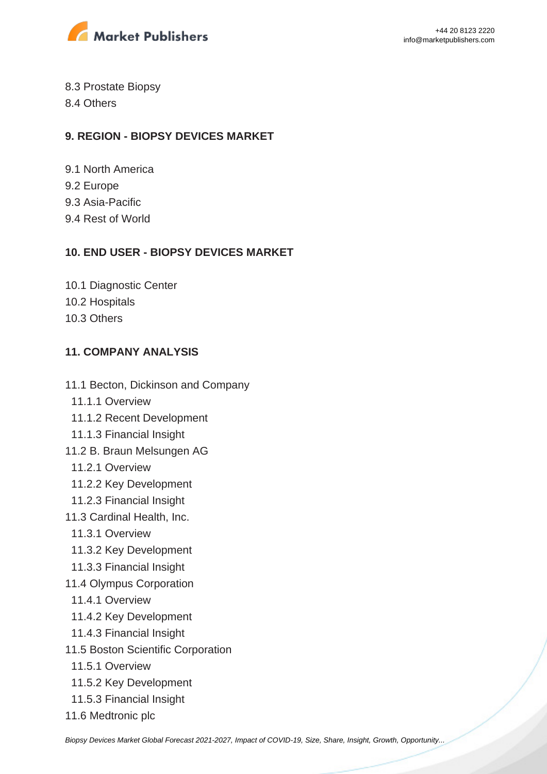

8.3 Prostate Biopsy

8.4 Others

# **9. REGION - BIOPSY DEVICES MARKET**

- 9.1 North America 9.2 Europe 9.3 Asia-Pacific
- 9.4 Rest of World

# **10. END USER - BIOPSY DEVICES MARKET**

10.1 Diagnostic Center 10.2 Hospitals 10.3 Others

# **11. COMPANY ANALYSIS**

- 11.1 Becton, Dickinson and Company
	- 11.1.1 Overview
	- 11.1.2 Recent Development
- 11.1.3 Financial Insight
- 11.2 B. Braun Melsungen AG
	- 11.2.1 Overview
	- 11.2.2 Key Development
- 11.2.3 Financial Insight
- 11.3 Cardinal Health, Inc.
	- 11.3.1 Overview
	- 11.3.2 Key Development
	- 11.3.3 Financial Insight
- 11.4 Olympus Corporation
	- 11.4.1 Overview
	- 11.4.2 Key Development
- 11.4.3 Financial Insight
- 11.5 Boston Scientific Corporation
	- 11.5.1 Overview
	- 11.5.2 Key Development
	- 11.5.3 Financial Insight
- 11.6 Medtronic plc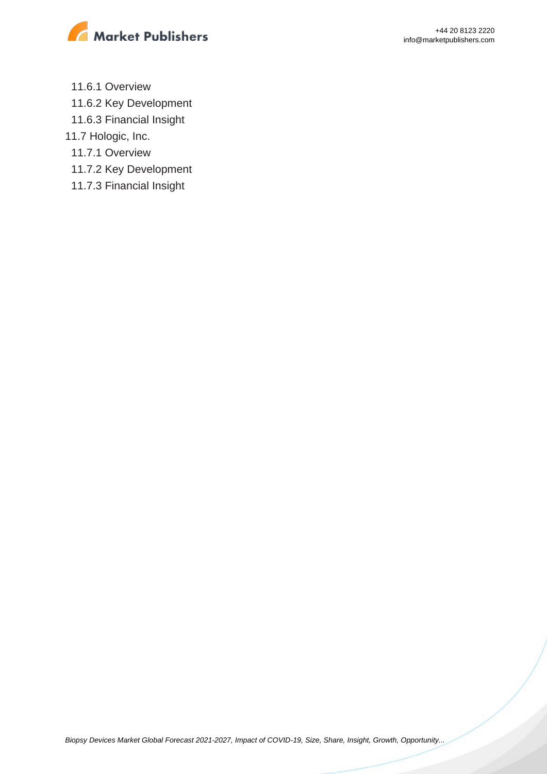

- 11.6.1 Overview
- 11.6.2 Key Development
- 11.6.3 Financial Insight
- 11.7 Hologic, Inc.
	- 11.7.1 Overview
	- 11.7.2 Key Development
	- 11.7.3 Financial Insight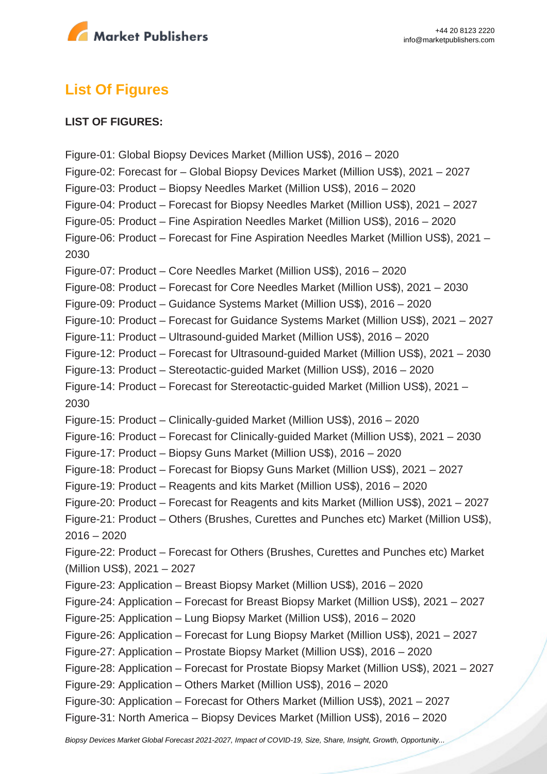

# **List Of Figures**

#### **LIST OF FIGURES:**

Figure-01: Global Biopsy Devices Market (Million US\$), 2016 – 2020 Figure-02: Forecast for – Global Biopsy Devices Market (Million US\$), 2021 – 2027 Figure-03: Product – Biopsy Needles Market (Million US\$), 2016 – 2020 Figure-04: Product – Forecast for Biopsy Needles Market (Million US\$), 2021 – 2027 Figure-05: Product – Fine Aspiration Needles Market (Million US\$), 2016 – 2020 Figure-06: Product – Forecast for Fine Aspiration Needles Market (Million US\$), 2021 – 2030 Figure-07: Product – Core Needles Market (Million US\$), 2016 – 2020 Figure-08: Product – Forecast for Core Needles Market (Million US\$), 2021 – 2030 Figure-09: Product – Guidance Systems Market (Million US\$), 2016 – 2020 Figure-10: Product – Forecast for Guidance Systems Market (Million US\$), 2021 – 2027 Figure-11: Product – Ultrasound-guided Market (Million US\$), 2016 – 2020 Figure-12: Product – Forecast for Ultrasound-guided Market (Million US\$), 2021 – 2030 Figure-13: Product – Stereotactic-guided Market (Million US\$), 2016 – 2020 Figure-14: Product – Forecast for Stereotactic-guided Market (Million US\$), 2021 – 2030 Figure-15: Product – Clinically-guided Market (Million US\$), 2016 – 2020 Figure-16: Product – Forecast for Clinically-guided Market (Million US\$), 2021 – 2030 Figure-17: Product – Biopsy Guns Market (Million US\$), 2016 – 2020 Figure-18: Product – Forecast for Biopsy Guns Market (Million US\$), 2021 – 2027 Figure-19: Product – Reagents and kits Market (Million US\$), 2016 – 2020 Figure-20: Product – Forecast for Reagents and kits Market (Million US\$), 2021 – 2027 Figure-21: Product – Others (Brushes, Curettes and Punches etc) Market (Million US\$), 2016 – 2020 Figure-22: Product – Forecast for Others (Brushes, Curettes and Punches etc) Market (Million US\$), 2021 – 2027 Figure-23: Application – Breast Biopsy Market (Million US\$), 2016 – 2020 Figure-24: Application – Forecast for Breast Biopsy Market (Million US\$), 2021 – 2027 Figure-25: Application – Lung Biopsy Market (Million US\$), 2016 – 2020 Figure-26: Application – Forecast for Lung Biopsy Market (Million US\$), 2021 – 2027 Figure-27: Application – Prostate Biopsy Market (Million US\$), 2016 – 2020 Figure-28: Application – Forecast for Prostate Biopsy Market (Million US\$), 2021 – 2027 Figure-29: Application – Others Market (Million US\$), 2016 – 2020 Figure-30: Application – Forecast for Others Market (Million US\$), 2021 – 2027 Figure-31: North America – Biopsy Devices Market (Million US\$), 2016 – 2020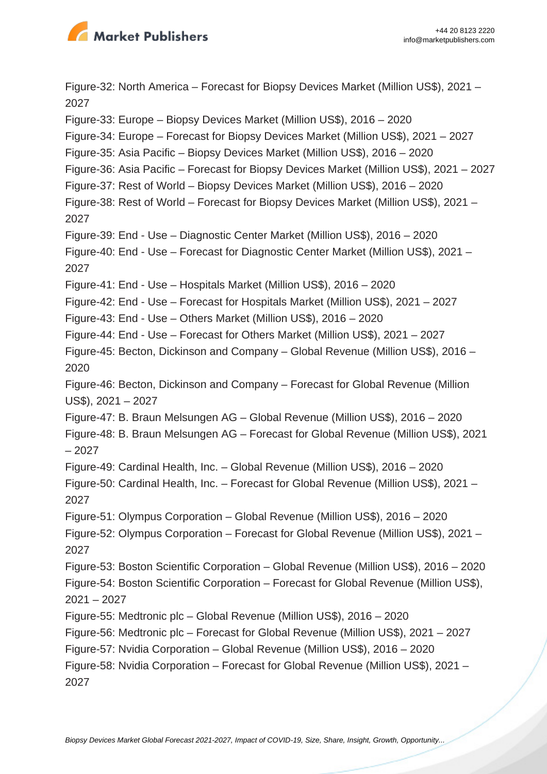

Figure-32: North America – Forecast for Biopsy Devices Market (Million US\$), 2021 – 2027 Figure-33: Europe – Biopsy Devices Market (Million US\$), 2016 – 2020 Figure-34: Europe – Forecast for Biopsy Devices Market (Million US\$), 2021 – 2027 Figure-35: Asia Pacific – Biopsy Devices Market (Million US\$), 2016 – 2020 Figure-36: Asia Pacific – Forecast for Biopsy Devices Market (Million US\$), 2021 – 2027 Figure-37: Rest of World – Biopsy Devices Market (Million US\$), 2016 – 2020 Figure-38: Rest of World – Forecast for Biopsy Devices Market (Million US\$), 2021 – 2027 Figure-39: End - Use – Diagnostic Center Market (Million US\$), 2016 – 2020 Figure-40: End - Use – Forecast for Diagnostic Center Market (Million US\$), 2021 – 2027 Figure-41: End - Use – Hospitals Market (Million US\$), 2016 – 2020 Figure-42: End - Use – Forecast for Hospitals Market (Million US\$), 2021 – 2027 Figure-43: End - Use – Others Market (Million US\$), 2016 – 2020 Figure-44: End - Use – Forecast for Others Market (Million US\$), 2021 – 2027 Figure-45: Becton, Dickinson and Company – Global Revenue (Million US\$), 2016 – 2020 Figure-46: Becton, Dickinson and Company – Forecast for Global Revenue (Million US\$), 2021 – 2027 Figure-47: B. Braun Melsungen AG – Global Revenue (Million US\$), 2016 – 2020 Figure-48: B. Braun Melsungen AG – Forecast for Global Revenue (Million US\$), 2021 – 2027 Figure-49: Cardinal Health, Inc. – Global Revenue (Million US\$), 2016 – 2020 Figure-50: Cardinal Health, Inc. – Forecast for Global Revenue (Million US\$), 2021 – 2027 Figure-51: Olympus Corporation – Global Revenue (Million US\$), 2016 – 2020 Figure-52: Olympus Corporation – Forecast for Global Revenue (Million US\$), 2021 – 2027 Figure-53: Boston Scientific Corporation – Global Revenue (Million US\$), 2016 – 2020 Figure-54: Boston Scientific Corporation – Forecast for Global Revenue (Million US\$), 2021 – 2027 Figure-55: Medtronic plc – Global Revenue (Million US\$), 2016 – 2020 Figure-56: Medtronic plc – Forecast for Global Revenue (Million US\$), 2021 – 2027 Figure-57: Nvidia Corporation – Global Revenue (Million US\$), 2016 – 2020 Figure-58: Nvidia Corporation – Forecast for Global Revenue (Million US\$), 2021 – 2027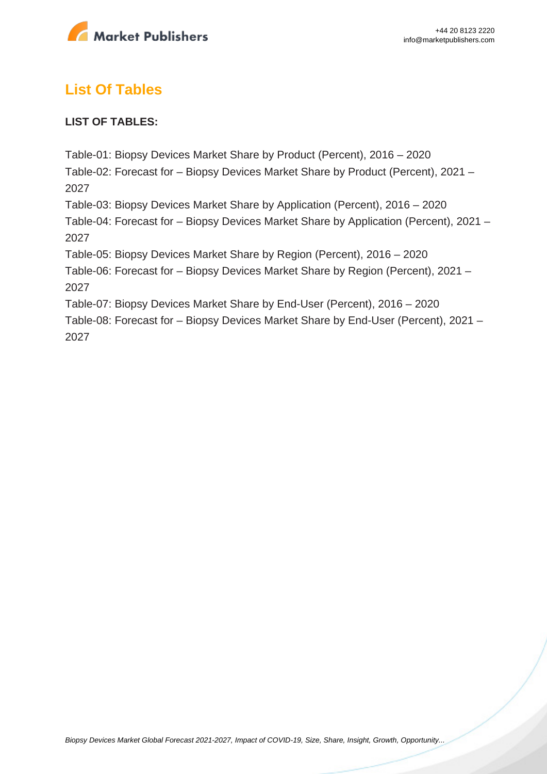

# **List Of Tables**

## **LIST OF TABLES:**

Table-01: Biopsy Devices Market Share by Product (Percent), 2016 – 2020 Table-02: Forecast for – Biopsy Devices Market Share by Product (Percent), 2021 – 2027 Table-03: Biopsy Devices Market Share by Application (Percent), 2016 – 2020 Table-04: Forecast for – Biopsy Devices Market Share by Application (Percent), 2021 – 2027 Table-05: Biopsy Devices Market Share by Region (Percent), 2016 – 2020 Table-06: Forecast for – Biopsy Devices Market Share by Region (Percent), 2021 – 2027 Table-07: Biopsy Devices Market Share by End-User (Percent), 2016 – 2020 Table-08: Forecast for – Biopsy Devices Market Share by End-User (Percent), 2021 –

2027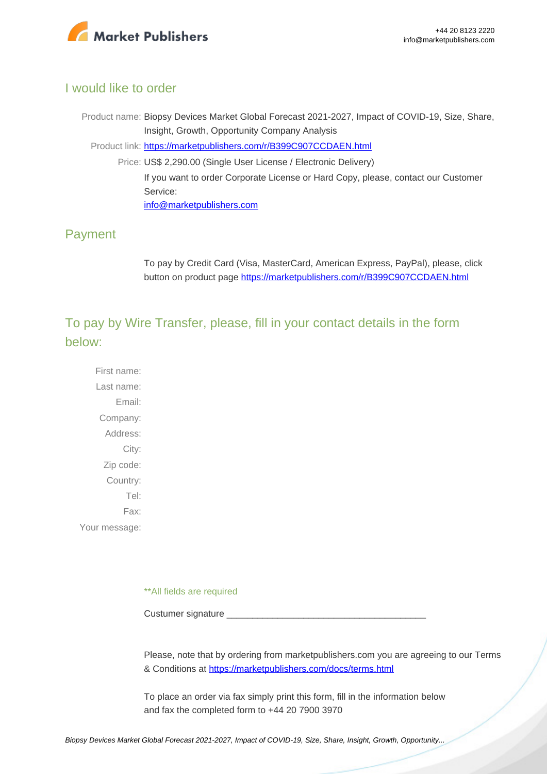

## I would like to order

Product name: Biopsy Devices Market Global Forecast 2021-2027, Impact of COVID-19, Size, Share, Insight, Growth, Opportunity Company Analysis Product link: [https://marketpublishers.com/r/B399C907CCDAEN.html](https://marketpublishers.com/report/medical_devices/other_medical_devices/biopsy-devices-market-global-forecast-2021-2027-impact-of-covid-19-size-share-insight-growth-opportunity-company-analysis.html) Price: US\$ 2,290.00 (Single User License / Electronic Delivery) If you want to order Corporate License or Hard Copy, please, contact our Customer Service: [info@marketpublishers.com](mailto:info@marketpublishers.com)

# Payment

To pay by Credit Card (Visa, MasterCard, American Express, PayPal), please, click button on product page [https://marketpublishers.com/r/B399C907CCDAEN.html](https://marketpublishers.com/report/medical_devices/other_medical_devices/biopsy-devices-market-global-forecast-2021-2027-impact-of-covid-19-size-share-insight-growth-opportunity-company-analysis.html)

To pay by Wire Transfer, please, fill in your contact details in the form below:

First name: Last name: Email: Company: Address: City: Zip code: Country: Tel: Fax: Your message:

\*\*All fields are required

Custumer signature

Please, note that by ordering from marketpublishers.com you are agreeing to our Terms & Conditions at<https://marketpublishers.com/docs/terms.html>

To place an order via fax simply print this form, fill in the information below and fax the completed form to +44 20 7900 3970